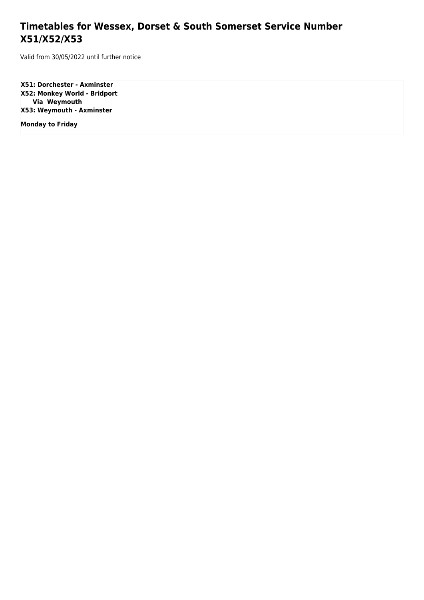## **Timetables for Wessex, Dorset & South Somerset Service Number X51/X52/X53**

Valid from 30/05/2022 until further notice

**X51: Dorchester - Axminster X52: Monkey World - Bridport Via Weymouth X53: Weymouth - Axminster**

**Monday to Friday**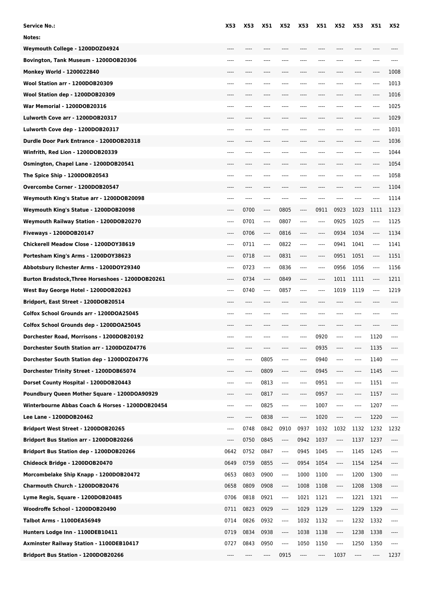| <b>Service No.:</b>                               | X53      | X53  | <b>X51</b> | X52                           | X53  | <b>X51</b> | X52                                          | X53  | <b>X51</b>                    | <b>X52</b> |
|---------------------------------------------------|----------|------|------------|-------------------------------|------|------------|----------------------------------------------|------|-------------------------------|------------|
| Notes:                                            |          |      |            |                               |      |            |                                              |      |                               |            |
| Weymouth College - 1200DOZ04924                   |          |      |            |                               |      |            |                                              |      |                               |            |
| Bovington, Tank Museum - 1200DOB20306             |          |      | ----       |                               |      |            |                                              |      | ----                          |            |
| <b>Monkey World - 1200022840</b>                  |          |      |            |                               |      |            |                                              |      | ----                          | 1008       |
| Wool Station arr - 1200DOB20309                   |          | ---- | $---$      | ----                          | ---- |            |                                              | ---- | ----                          | 1013       |
| Wool Station dep - 1200DOB20309                   |          |      |            |                               |      |            |                                              | ---- | ----                          | 1016       |
| War Memorial - 1200DOB20316                       |          |      | ----       | ----                          |      |            |                                              | ---- | ----                          | 1025       |
| Lulworth Cove arr - 1200DOB20317                  |          | ---- | $---$      | ----                          |      |            |                                              | ---- | ----                          | 1029       |
| Lulworth Cove dep - 1200DOB20317                  |          |      |            |                               |      |            |                                              | ---- | ----                          | 1031       |
| Durdle Door Park Entrance - 1200DOB20318          |          |      |            |                               |      |            |                                              |      | ----                          | 1036       |
| Winfrith, Red Lion - 1200DOB20339                 |          | ---- | ----       | ----                          | ---- |            | ----                                         | ---- | ----                          | 1044       |
| Osmington, Chapel Lane - 1200DOB20541             |          |      |            |                               |      |            |                                              |      | ----                          | 1054       |
| The Spice Ship - 1200DOB20543                     |          |      |            |                               |      |            |                                              |      | ----                          | 1058       |
| Overcombe Corner - 1200DOB20547                   | $-- -$   | ---- | $---$      | ----                          | ---- | $--- -$    | ----                                         | ---- | ----                          | 1104       |
| Weymouth King's Statue arr - 1200DOB20098         |          |      | ----       |                               |      |            |                                              | ---- | ----                          | 1114       |
| Weymouth King's Statue - 1200DOB20098             |          | 0700 | ----       | 0805                          | ---- | 0911       | 0923                                         | 1023 | 1111                          | 1123       |
| Weymouth Railway Station - 1200DOB20270           | ----     | 0701 | $---$      | 0807                          | ---- | $---$      | 0925                                         | 1025 | $---$                         | 1125       |
| Fiveways - 1200DOB20147                           | ----     | 0706 | $---$      | 0816                          | ---- | $---$      | 0934                                         | 1034 | $\cdots$                      | 1134       |
| Chickerell Meadow Close - 1200DOY38619            | $---$    | 0711 | $-----$    | 0822                          | ---- | $---$      | 0941                                         | 1041 | $-----$                       | 1141       |
| Portesham King's Arms - 1200DOY38623              | ----     | 0718 | $-----$    | 0831                          | ---- | $--- -$    | 0951                                         | 1051 | $\hspace{1.5cm} \textbf{---}$ | 1151       |
| Abbotsbury Ilchester Arms - 1200DOY29340          |          | 0723 | ----       | 0836                          | ---- |            | 0956                                         | 1056 | $---$                         | 1156       |
| Burton Bradstock, Three Horseshoes - 1200DOB20261 | $-- -$   | 0734 | $---$      | 0849                          | ---- | $---$      | 1011                                         | 1111 | $---$                         | 1211       |
| West Bay George Hotel - 1200DOB20263              | $---$    | 0740 | $---$      | 0857                          | ---- | $---$      | 1019                                         | 1119 | $---$                         | 1219       |
| Bridport, East Street - 1200DOB20514              | ----     | ---- | ----       | ----                          | ---- |            | ----                                         | ---- | ----                          |            |
| Colfox School Grounds arr - 1200DOA25045          |          |      |            |                               |      |            |                                              |      |                               |            |
| Colfox School Grounds dep - 1200DOA25045          |          |      |            |                               |      |            |                                              |      |                               |            |
| Dorchester Road, Morrisons - 1200DOB20192         |          | ---- |            |                               | ---- | 0920       | ----                                         | ---- | 1120                          |            |
| Dorchester South Station arr - 1200DOZ04776       |          |      |            |                               |      | 0935       |                                              | ---- | 1135                          |            |
| Dorchester South Station dep - 1200DOZ04776       |          | ---- | 0805       | ----                          | ---- | 0940       | ----                                         | ---- | 1140                          | ----       |
| Dorchester Trinity Street - 1200DOB65074          | ----     | ---- | 0809       | ----                          | ---- | 0945       | $\hspace{1.5cm} \textbf{---} \hspace{1.5cm}$ | ---- | 1145                          | ----       |
| Dorset County Hospital - 1200DOB20443             | $-----$  | ---- | 0813       | $\cdots$                      | ---- | 0951       | ----                                         | ---- | 1151                          | ----       |
| Poundbury Queen Mother Square - 1200DOA90929      | ----     | ---- | 0817       | ----                          | ---- | 0957       | ----                                         | ---- | 1157                          | ----       |
| Winterbourne Abbas Coach & Horses - 1200DOB20454  | ----     | ---- | 0825       | $\hspace{1.5cm} \textbf{---}$ | ---- | 1007       | ----                                         | ---- | 1207                          | $\cdots$   |
| Lee Lane - 1200DOB20462                           | ----     | ---- | 0838       | ----                          | ---- | 1020       | ----                                         | ---- | 1220                          | ----       |
| Bridport West Street - 1200DOB20265               | $---$    | 0748 | 0842       | 0910                          | 0937 | 1032       | 1032                                         | 1132 | 1232                          | 1232       |
| Bridport Bus Station arr - 1200DOB20266           | $\cdots$ | 0750 | 0845       | $\cdots$                      | 0942 | 1037       | ----                                         | 1137 | 1237                          | ----       |
| Bridport Bus Station dep - 1200DOB20266           | 0642     | 0752 | 0847       | $\hspace{1.5cm} \textbf{---}$ | 0945 | 1045       | ----                                         | 1145 | 1245                          | ----       |
| Chideock Bridge - 1200DOB20470                    | 0649     | 0759 | 0855       | $\hspace{1.5cm} \textbf{---}$ | 0954 | 1054       | ----                                         | 1154 | 1254                          | ----       |
| Morcombelake Ship Knapp - 1200DOB20472            | 0653     | 0803 | 0900       | ----                          | 1000 | 1100       | ----                                         | 1200 | 1300                          | ----       |
| Charmouth Church - 1200DOB20476                   | 0658     | 0809 | 0908       | ----                          | 1008 | 1108       | ----                                         | 1208 | 1308                          | ----       |
| Lyme Regis, Square - 1200DOB20485                 | 0706     | 0818 | 0921       | ----                          | 1021 | 1121       | ----                                         | 1221 | 1321                          | ----       |
| Woodroffe School - 1200DOB20490                   | 0711     | 0823 | 0929       | ----                          | 1029 | 1129       | ----                                         | 1229 | 1329                          | ----       |
| <b>Talbot Arms - 1100DEA56949</b>                 | 0714     | 0826 | 0932       | $\overline{\phantom{a}}$      | 1032 | 1132       | ----                                         | 1232 | 1332                          | ----       |
| Hunters Lodge Inn - 1100DEB10411                  | 0719     | 0834 | 0938       | ----                          | 1038 | 1138       | ----                                         | 1238 | 1338                          | ----       |
| Axminster Railway Station - 1100DEB10417          | 0727     | 0843 | 0950       | ----                          | 1050 | 1150       | ----                                         | 1250 | 1350                          | $\cdots$   |
| Bridport Bus Station - 1200DOB20266               |          |      | ----       | 0915                          | ---- | ----       | 1037                                         | ---- | ----                          | 1237       |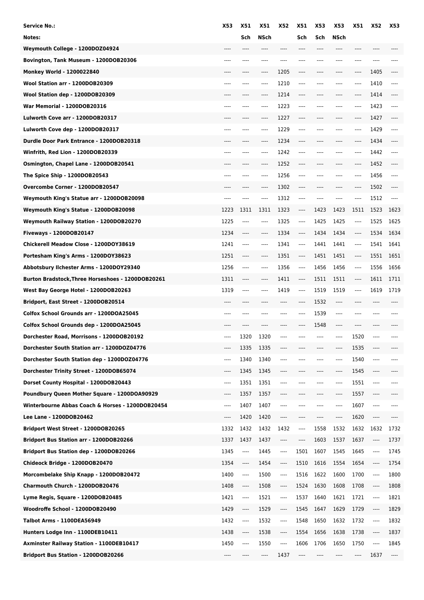| Service No.:                                      | X53  | <b>X51</b>                    | <b>X51</b> | <b>X52</b> | <b>X51</b>                    | X53   | X53   | X51  | X52                           | X53   |
|---------------------------------------------------|------|-------------------------------|------------|------------|-------------------------------|-------|-------|------|-------------------------------|-------|
| Notes:                                            |      | Sch                           | NSch       |            | Sch                           | Sch   | NSch  |      |                               |       |
| Weymouth College - 1200DOZ04924                   | ---- | $---$                         | ----       | ----       | ----                          | $---$ | ----  | ---- | $---$                         |       |
| Bovington, Tank Museum - 1200DOB20306             | ---- | ----                          | ----       |            |                               | ----  | ----  | ---- | $---$                         |       |
| Monkey World - 1200022840                         |      |                               | ----       | 1205       | ----                          |       |       | ---- | 1405                          |       |
| Wool Station arr - 1200DOB20309                   | ---- | ----                          | ----       | 1210       | $---$                         | ----  | ----  | ---- | 1410                          | ----  |
| Wool Station dep - 1200DOB20309                   |      |                               | ----       | 1214       | ----                          | ----  | ----  | ---- | 1414                          | ----  |
| War Memorial - 1200DOB20316                       | ---- | ----                          | ----       | 1223       | ----                          | ----  | ----  | ---- | 1423                          | ----  |
| Lulworth Cove arr - 1200DOB20317                  |      |                               | ----       | 1227       | $-----$                       | ----  | ----  | ---- | 1427                          | ----  |
| Lulworth Cove dep - 1200DOB20317                  | ---- |                               | ----       | 1229       | $\cdots$                      | ----  | ----  | ---- | 1429                          | ----  |
| Durdle Door Park Entrance - 1200DOB20318          |      |                               | ----       | 1234       |                               |       |       | ---- | 1434                          |       |
| Winfrith, Red Lion - 1200DOB20339                 | ---- | $---$                         | $---$      | 1242       | $---$                         | ----  | ----  | ---- | 1442                          | ----  |
| Osmington, Chapel Lane - 1200DOB20541             |      |                               | ----       | 1252       | ----                          |       |       | ---- | 1452                          |       |
| The Spice Ship - 1200DOB20543                     | ---- | $---$                         | $---$      | 1256       | ----                          |       | ----  | ---- | 1456                          | ----  |
| Overcombe Corner - 1200DOB20547                   | ---- | $---$                         | ----       | 1302       | $---$                         | ----  | ----  | ---- | 1502                          | $---$ |
| Weymouth King's Statue arr - 1200DOB20098         | ---- | $---$                         | $---$      | 1312       | $- - - -$                     | ----  | ----  | ---- | 1512                          | ----  |
| Weymouth King's Statue - 1200DOB20098             | 1223 | 1311                          | 1311       | 1323       | ----                          | 1423  | 1423  | 1511 | 1523                          | 1623  |
| Weymouth Railway Station - 1200DOB20270           | 1225 | $^{***}$                      | ----       | 1325       | $---$                         | 1425  | 1425  | ---- | 1525                          | 1625  |
| <b>Fiveways - 1200DOB20147</b>                    | 1234 | $\hspace{1.5cm} \textbf{---}$ | ----       | 1334       | $\hspace{1.5cm} \textbf{---}$ | 1434  | 1434  | ---- | 1534                          | 1634  |
| Chickerell Meadow Close - 1200DOY38619            | 1241 | $\cdots$                      | $---$      | 1341       | $\cdots$                      | 1441  | 1441  | ---- | 1541                          | 1641  |
| Portesham King's Arms - 1200DOY38623              | 1251 | $\cdots$                      | ----       | 1351       | $-----$                       | 1451  | 1451  | ---- | 1551                          | 1651  |
| Abbotsbury Ilchester Arms - 1200DOY29340          | 1256 | $---$                         | ----       | 1356       | ----                          | 1456  | 1456  | ---- | 1556                          | 1656  |
| Burton Bradstock, Three Horseshoes - 1200DOB20261 | 1311 | ----                          | ----       | 1411       | $\hspace{1.5cm} \textbf{---}$ | 1511  | 1511  | ---- | 1611                          | 1711  |
| West Bay George Hotel - 1200DOB20263              | 1319 | $---$                         | $---$      | 1419       | ----                          | 1519  | 1519  | ---- | 1619                          | 1719  |
| Bridport, East Street - 1200DOB20514              | ---- | $---$                         | ----       | $---$      | $---$                         | 1532  | $---$ | ---- | $---$                         | ----  |
| Colfox School Grounds arr - 1200DOA25045          | ---- |                               |            | ----       |                               | 1539  | ----  | ---- | ----                          |       |
| Colfox School Grounds dep - 1200DOA25045          |      |                               |            |            |                               | 1548  |       |      |                               |       |
| Dorchester Road, Morrisons - 1200DOB20192         | ---- | 1320                          | 1320       |            |                               |       | ----  | 1520 | ----                          |       |
| Dorchester South Station arr - 1200DOZ04776       | ---- | 1335                          | 1335       |            |                               |       | ----  | 1535 | ----                          |       |
| Dorchester South Station dep - 1200DOZ04776       | ---- | 1340                          | 1340       | ----       |                               | ----  | ----  | 1540 | $-----$                       | ----  |
| Dorchester Trinity Street - 1200DOB65074          | ---- | 1345                          | 1345       | ----       | ----                          | ----  | ----  | 1545 | $\hspace{1.5cm} \textbf{---}$ |       |
| Dorset County Hospital - 1200DOB20443             | ---- | 1351                          | 1351       | ----       | ----                          | ----  | ----  | 1551 | $\hspace{1.5cm} \textbf{---}$ | ----  |
| Poundbury Queen Mother Square - 1200DOA90929      | ---- | 1357                          | 1357       | ----       | ----                          | ----  | ----  | 1557 | $\hspace{1.5cm} \textbf{---}$ | ----  |
| Winterbourne Abbas Coach & Horses - 1200DOB20454  | ---- | 1407                          | 1407       | ----       |                               | ----  | ----  | 1607 | $\cdots$                      | ----  |
| Lee Lane - 1200DOB20462                           | ---- | 1420                          | 1420       | ----       | $\cdots$                      | ----  | ----  | 1620 | $\hspace{1.5cm} \textbf{---}$ | ----  |
| Bridport West Street - 1200DOB20265               | 1332 | 1432                          | 1432       | 1432       | $\hspace{1.5cm} \textbf{---}$ | 1558  | 1532  | 1632 | 1632                          | 1732  |
| Bridport Bus Station arr - 1200DOB20266           | 1337 | 1437                          | 1437       | ----       | ----                          | 1603  | 1537  | 1637 | ----                          | 1737  |
| Bridport Bus Station dep - 1200DOB20266           | 1345 | ----                          | 1445       | ----       | 1501                          | 1607  | 1545  | 1645 | $\cdots$                      | 1745  |
| Chideock Bridge - 1200DOB20470                    | 1354 | $\cdots$                      | 1454       | ----       | 1510                          | 1616  | 1554  | 1654 | $\cdots$                      | 1754  |
| Morcombelake Ship Knapp - 1200DOB20472            | 1400 | ----                          | 1500       | ----       | 1516                          | 1622  | 1600  | 1700 | ----                          | 1800  |
| Charmouth Church - 1200DOB20476                   | 1408 | ----                          | 1508       | ----       | 1524                          | 1630  | 1608  | 1708 | ----                          | 1808  |
| Lyme Regis, Square - 1200DOB20485                 | 1421 | ----                          | 1521       | ----       | 1537                          | 1640  | 1621  | 1721 | ----                          | 1821  |
| Woodroffe School - 1200DOB20490                   | 1429 | ----                          | 1529       | ----       | 1545                          | 1647  | 1629  | 1729 | ----                          | 1829  |
| Talbot Arms - 1100DEA56949                        | 1432 | ----                          | 1532       | ----       | 1548                          | 1650  | 1632  | 1732 | ----                          | 1832  |
|                                                   |      |                               |            |            |                               |       |       |      |                               |       |
| Hunters Lodge Inn - 1100DEB10411                  | 1438 | ----                          | 1538       | ----       | 1554                          | 1656  | 1638  | 1738 | ----                          | 1837  |
| Axminster Railway Station - 1100DEB10417          | 1450 | $\cdots$                      | 1550       | ----       | 1606                          | 1706  | 1650  | 1750 | ----                          | 1845  |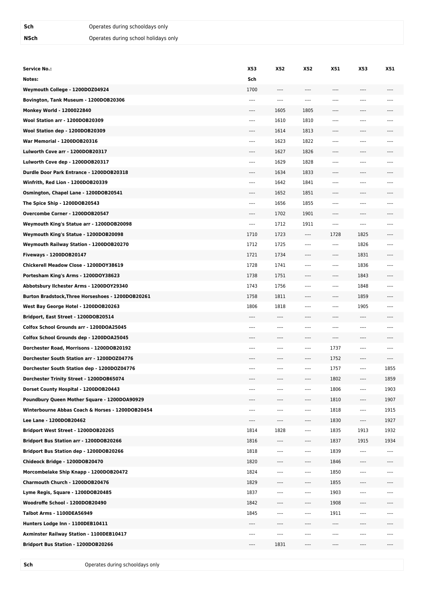| <b>Service No.:</b>                               | X53      | <b>X52</b> | X52       | X51      | X53                      | <b>X51</b> |
|---------------------------------------------------|----------|------------|-----------|----------|--------------------------|------------|
| Notes:                                            | Sch      |            |           |          |                          |            |
| Weymouth College - 1200DOZ04924                   | 1700     | ----       | ----      | ----     | ----                     |            |
| Bovington, Tank Museum - 1200DOB20306             | $---$    | $---$      | $- - - -$ | $---$    | $---$                    | ----       |
| Monkey World - 1200022840                         | ----     | 1605       | 1805      | ----     | ----                     | ----       |
| Wool Station arr - 1200DOB20309                   | ----     | 1610       | 1810      | ----     | ----                     |            |
| Wool Station dep - 1200DOB20309                   | ----     | 1614       | 1813      | ----     | ----                     |            |
| War Memorial - 1200DOB20316                       | $---$    | 1623       | 1822      | ----     | $---$                    | ----       |
| Lulworth Cove arr - 1200DOB20317                  | ----     | 1627       | 1826      | ----     |                          |            |
| Lulworth Cove dep - 1200DOB20317                  | $---$    | 1629       | 1828      | ----     | $---$                    | ----       |
| Durdle Door Park Entrance - 1200DOB20318          | ----     | 1634       | 1833      | ----     | ----                     | ----       |
| Winfrith, Red Lion - 1200DOB20339                 | ----     | 1642       | 1841      | ----     | ----                     |            |
| Osmington, Chapel Lane - 1200DOB20541             | ----     | 1652       | 1851      | ----     | ----                     | ----       |
| The Spice Ship - 1200DOB20543                     | ----     | 1656       | 1855      | ----     | $---$                    | ----       |
| Overcombe Corner - 1200DOB20547                   | ----     | 1702       | 1901      | ----     | ----                     |            |
| Weymouth King's Statue arr - 1200DOB20098         | $\cdots$ | 1712       | 1911      | ----     | $\cdots$                 | ----       |
| Weymouth King's Statue - 1200DOB20098             | 1710     | 1723       | $---$     | 1728     | 1825                     | ----       |
| Weymouth Railway Station - 1200DOB20270           | 1712     | 1725       | $^{***}$  | ----     | 1826                     |            |
| Fiveways - 1200DOB20147                           | 1721     | 1734       | ----      | ----     | 1831                     | ----       |
| Chickerell Meadow Close - 1200DOY38619            | 1728     | 1741       | $---$     | ----     | 1836                     | ----       |
| Portesham King's Arms - 1200DOY38623              | 1738     | 1751       | ----      | ----     | 1843                     |            |
| Abbotsbury Ilchester Arms - 1200DOY29340          | 1743     | 1756       | $---$     | $---$    | 1848                     | $- - - -$  |
| Burton Bradstock, Three Horseshoes - 1200DOB20261 | 1758     | 1811       | $- - - -$ | ----     | 1859                     | ----       |
| West Bay George Hotel - 1200DOB20263              | 1806     | 1818       | $^{***}$  | ----     | 1905                     |            |
| Bridport, East Street - 1200DOB20514              | $---$    | $---$      | ----      | ----     | $---$                    | ----       |
| Colfox School Grounds arr - 1200DOA25045          | ----     | $- - - -$  | $- - - -$ | ----     | $- - - -$                | ----       |
| Colfox School Grounds dep - 1200DOA25045          | ----     | ----       | ----      | ----     | ----                     |            |
| Dorchester Road, Morrisons - 1200DOB20192         | $---$    | $---$      | $---$     | 1737     | $\overline{\phantom{a}}$ | ----       |
| Dorchester South Station arr - 1200DOZ04776       | ----     | ----       | $---$     | 1752     | ----                     | ----       |
| Dorchester South Station dep - 1200DOZ04776       |          |            | $^{***}$  | 1757     | ----                     | 1855       |
| Dorchester Trinity Street - 1200DOB65074          | ----     | $---$      | $---$     | 1802     | $---$                    | 1859       |
| Dorset County Hospital - 1200DOB20443             | ----     | ----       | $- - - -$ | 1806     | ----                     | 1903       |
| Poundbury Queen Mother Square - 1200DOA90929      |          |            | ----      | 1810     | ----                     | 1907       |
| Winterbourne Abbas Coach & Horses - 1200DOB20454  | ----     | $^{***}$   | $^{***}$  | 1818     | $\cdots$                 | 1915       |
| Lee Lane - 1200DOB20462                           | ----     | ----       | ----      | 1830     | $\cdots$                 | 1927       |
| Bridport West Street - 1200DOB20265               | 1814     | 1828       | ----      | 1835     | 1913                     | 1932       |
| Bridport Bus Station arr - 1200DOB20266           | 1816     | ----       | ----      | 1837     | 1915                     | 1934       |
| Bridport Bus Station dep - 1200DOB20266           | 1818     | ----       | ----      | 1839     | $---$                    | ----       |
| Chideock Bridge - 1200DOB20470                    | 1820     | ----       | ----      | 1846     | ----                     |            |
| Morcombelake Ship Knapp - 1200DOB20472            | 1824     | ----       | ----      | 1850     | ----                     | ----       |
| Charmouth Church - 1200DOB20476                   | 1829     | ----       | $---$     | 1855     | ----                     | ----       |
| Lyme Regis, Square - 1200DOB20485                 | 1837     | ----       | $\cdots$  | 1903     | $\overline{\phantom{a}}$ | ----       |
| Woodroffe School - 1200DOB20490                   | 1842     | ----       | ----      | 1908     | ----                     | ----       |
| Talbot Arms - 1100DEA56949                        | 1845     | $---$      | $^{***}$  | 1911     | $\cdots$                 | ----       |
| Hunters Lodge Inn - 1100DEB10411                  | ----     | ----       | ----      | $\cdots$ | ----                     | ----       |
| Axminster Railway Station - 1100DEB10417          | ----     | $^{***}$   | ----      | ----     | ----                     | ----       |
| Bridport Bus Station - 1200DOB20266               | ----     | 1831       | ----      | ----     | ----                     | ----       |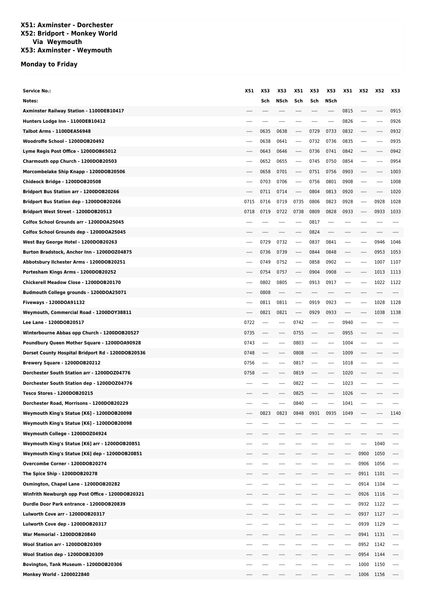## **X51: Axminster - Dorchester X52: Bridport - Monkey World Via Weymouth X53: Axminster - Weymouth**

## **Monday to Friday**

| <b>Service No.:</b>                               | X51       | X53      | X53     | X51                      | X53  | X53   | X51       | X52                      | X52   | X53                           |
|---------------------------------------------------|-----------|----------|---------|--------------------------|------|-------|-----------|--------------------------|-------|-------------------------------|
| Notes:                                            |           | Sch      | NSch    | Sch                      | Sch  | NSch  |           |                          |       |                               |
| Axminster Railway Station - 1100DEB10417          |           | ----     | ----    | ----                     | ---- | ----  | 0815      | $---$                    | ----  | 0915                          |
| Hunters Lodge Inn - 1100DEB10412                  | ----      | $---$    | $---$   | $---$                    | ---- | $---$ | 0826      | $- - - -$                | ----  | 0926                          |
| Talbot Arms - 1100DEA56948                        | $---$     | 0635     | 0638    | ----                     | 0729 | 0733  | 0832      | ----                     | ----  | 0932                          |
| Woodroffe School - 1200DOB20492                   | ----      | 0638     | 0641    | $-----$                  | 0732 | 0736  | 0835      | $---$                    | ----  | 0935                          |
| Lyme Regis Post Office - 1200DOB65012             |           | 0643     | 0646    | $-----$                  | 0736 | 0741  | 0842      | $---$                    | ----  | 0942                          |
| Charmouth opp Church - 1200DOB20503               | ----      | 0652     | 0655    | $---$                    | 0745 | 0750  | 0854      | ----                     | ----  | 0954                          |
| Morcombelake Ship Knapp - 1200DOB20506            | ----      | 0658     | 0701    | ----                     | 0751 | 0756  | 0903      | $---$                    | ----  | 1003                          |
| Chideock Bridge - 1200DOB20508                    | $---$     | 0703     | 0706    | $\overline{\phantom{a}}$ | 0756 | 0801  | 0908      | $\overline{\phantom{a}}$ | ----  | 1008                          |
| Bridport Bus Station arr - 1200DOB20266           | ----      | 0711     | 0714    | $---$                    | 0804 | 0813  | 0920      | $- - - -$                | ----  | 1020                          |
| Bridport Bus Station dep - 1200DOB20266           | 0715      | 0716     | 0719    | 0735                     | 0806 | 0823  | 0928      | ----                     | 0928  | 1028                          |
| Bridport West Street - 1200DOB20513               | 0718      | 0719     | 0722    | 0738                     | 0809 | 0828  | 0933      | $- - - -$                | 0933  | 1033                          |
| Colfox School Grounds arr - 1200DOA25045          |           | ----     | ----    | $---$                    | 0817 | ----  | ----      | ----                     | ---   |                               |
| Colfox School Grounds dep - 1200DOA25045          | ----      | $---$    | ----    | $---$                    | 0824 | ----  | ----      | ----                     | ----  |                               |
| West Bay George Hotel - 1200DOB20263              | $---$     | 0729     | 0732    | $^{***}$                 | 0837 | 0841  | ----      | ----                     | 0946  | 1046                          |
| Burton Bradstock, Anchor Inn - 1200DOZ04875       | ----      | 0736     | 0739    | $-----$                  | 0844 | 0848  | ----      | ----                     | 0953  | 1053                          |
| Abbotsbury Ilchester Arms - 1200DOB20251          | $---$     | 0749     | 0752    | $\overline{\phantom{a}}$ | 0858 | 0902  | ----      | $---$                    | 1007  | 1107                          |
| Portesham Kings Arms - 1200DOB20252               | ----      | 0754     | 0757    | ----                     | 0904 | 0908  | ----      | ----                     | 1013  | 1113                          |
| Chickerell Meadow Close - 1200DOB20170            | $---$     | 0802     | 0805    | $-----$                  | 0913 | 0917  | ----      | $---$                    | 1022  | 1122                          |
| Budmouth College grounds - 1200DOA25071           |           | 0808     | ----    | ----                     | ---- |       | ----      |                          | ----  |                               |
| Fiveways - 1200DOA91132                           | $- - - -$ | 0811     | 0811    | $---$                    | 0919 | 0923  | $- - - -$ | $---$                    | 1028  | 1128                          |
| Weymouth, Commercial Road - 1200DOY38811          | ----      | 0821     | 0821    | ----                     | 0929 | 0933  | ----      | ----                     | 1038  | 1138                          |
| Lee Lane - 1200DOB20517                           | 0722      | ----     | $---$   | 0742                     | ---- | ----  | 0940      | ----                     | ----  |                               |
| Winterbourne Abbas opp Church - 1200DOB20527      | 0735      | $---$    | ----    | 0755                     | ---- | ----  | 0955      | ----                     |       |                               |
| Poundbury Queen Mother Square - 1200DOA90928      | 0743      | $---$    | $---$   | 0803                     | ---- | ----  | 1004      | ----                     | ----  |                               |
| Dorset County Hospital Bridport Rd - 1200DOB20536 | 0748      | ----     | $---$   | 0808                     | ---- | ----  | 1009      | ----                     | ----  |                               |
| Brewery Square - 1200DOB20212                     | 0756      | $^{***}$ | $-----$ | 0817                     | ---- | ----  | 1018      | ----                     | ---   |                               |
| Dorchester South Station arr - 1200DOZ04776       | 0758      | $---$    | $---$   | 0819                     | ---- | ----  | 1020      | ----                     | $---$ |                               |
| Dorchester South Station dep - 1200DOZ04776       |           | ----     | ----    | 0822                     | ---- | ----  | 1023      |                          | ---   |                               |
| Tesco Stores - 1200DOB20215                       |           | ----     | ----    | 0825                     | ---- | ----  | 1026      | ----                     | ----  |                               |
| Dorchester Road, Morrisons - 1200DOB20229         | ----      |          | ----    | 0840                     | ---- | ----  | 1041      | $---$                    | $---$ |                               |
| Weymouth King's Statue [K6] - 1200DOB20098        | $---$     | 0823     | 0823    | 0848                     | 0931 | 0935  | 1049      | ----                     | ----  | 1140                          |
| Weymouth King's Statue [K6] - 1200DOB20098        |           | ----     | ----    | $---$                    |      |       | ----      |                          | ----  |                               |
| Weymouth College - 1200DOZ04924                   |           |          |         |                          |      |       |           |                          | ----  | ----                          |
| Weymouth King's Statue [K6] arr - 1200DOB20851    |           | ----     | ----    | $---$                    | ---- | ----  | ----      | $---$                    | 1040  | $---$                         |
| Weymouth King's Statue [K6] dep - 1200DOB20851    |           |          |         |                          |      |       | ----      | 0900                     | 1050  | ----                          |
| Overcombe Corner - 1200DOB20274                   |           | ----     | ----    | ----                     | ---- | ----  | ----      | 0906                     | 1056  | $\cdots$                      |
| The Spice Ship - 1200DOB20278                     |           | ----     |         | $- - - -$                |      | ----  | ----      | 0911                     | 1101  | ----                          |
| Osmington, Chapel Lane - 1200DOB20282             | ----      | ----     | ----    | $---$                    | ---- | ----  | ----      | 0914                     | 1104  | $\overline{\phantom{a}}$      |
| Winfrith Newburgh opp Post Office - 1200DOB20321  | ----      | ----     | ----    | ----                     |      | ----  | ----      | 0926                     | 1116  | $\hspace{1.5cm} \textbf{---}$ |
| Durdle Door Park entrance - 1200DOB20839          |           | ----     | ----    | $\overline{\phantom{a}}$ | ---- | ----  | ----      | 0932                     | 1122  | $\cdots$                      |
| Lulworth Cove arr - 1200DOB20317                  |           | ----     | ----    | $---$                    |      | ----  | ----      | 0937                     | 1127  | $-----$                       |
| Lulworth Cove dep - 1200DOB20317                  |           | ----     |         | ---                      |      | ----  | ----      | 0939                     | 1129  | $---$                         |
| War Memorial - 1200DOB20840                       | ----      | ----     | ----    | ----                     |      | ----  | ----      | 0941                     | 1131  | $-----$                       |
| Wool Station arr - 1200DOB20309                   |           | ----     | ----    | $---$                    | ---- | ----  | ----      | 0952                     | 1142  | $\cdots$                      |
| Wool Station dep - 1200DOB20309                   |           | ----     |         | ----                     |      | ----  | ----      | 0954                     | 1144  | $\cdots$                      |
| Bovington, Tank Museum - 1200DOB20306             |           | ----     | ----    | $- - - -$                |      | ----  | ----      | 1000                     | 1150  | $^{***}$                      |
| Monkey World - 1200022840                         |           |          |         |                          |      |       | ----      | 1006                     | 1156  | $\overline{\phantom{a}}$      |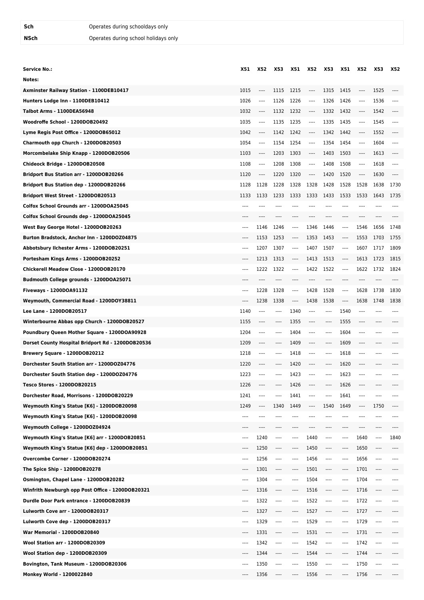| Service No.:                                      | X51       | X52      | X53       | X51                       | X52  | X53      | X51                                           | X52       | X53       | X52       |
|---------------------------------------------------|-----------|----------|-----------|---------------------------|------|----------|-----------------------------------------------|-----------|-----------|-----------|
| Notes:                                            |           |          |           |                           |      |          |                                               |           |           |           |
| Axminster Railway Station - 1100DEB10417          | 1015      | ----     | 1115      | 1215                      | ---- | 1315     | 1415                                          | ----      | 1525      | ----      |
| Hunters Lodge Inn - 1100DEB10412                  | 1026      | ----     | 1126      | 1226                      | ---- | 1326     | 1426                                          | $---$     | 1536      | $- - - -$ |
| Talbot Arms - 1100DEA56948                        | 1032      | ----     | 1132      | 1232                      | ---- | 1332     | 1432                                          | ----      | 1542      | ----      |
| Woodroffe School - 1200DOB20492                   | 1035      | $---$    | 1135      | 1235                      | ---- | 1335     | 1435                                          | $- - - -$ | 1545      | $^{***}$  |
| Lyme Regis Post Office - 1200DOB65012             | 1042      | ----     | 1142      | 1242                      | ---- | 1342     | 1442                                          | ----      | 1552      | ----      |
| Charmouth opp Church - 1200DOB20503               | 1054      | $---$    | 1154      | 1254                      | ---- | 1354     | 1454                                          | ----      | 1604      | ----      |
| Morcombelake Ship Knapp - 1200DOB20506            | 1103      | $---$    | 1203      | 1303                      | ---- | 1403     | 1503                                          | ----      | 1613      |           |
| Chideock Bridge - 1200DOB20508                    | 1108      | $---$    | 1208      | 1308                      | ---- | 1408     | 1508                                          | $---$     | 1618      | $\cdots$  |
| Bridport Bus Station arr - 1200DOB20266           | 1120      | $\cdots$ | 1220      | 1320                      | ---- | 1420     | 1520                                          | ----      | 1630      |           |
| Bridport Bus Station dep - 1200DOB20266           | 1128      | 1128     | 1228      | 1328                      | 1328 | 1428     | 1528                                          | 1528      | 1638      | 1730      |
| Bridport West Street - 1200DOB20513               | 1133      | 1133     | 1233      | 1333                      | 1333 | 1433     | 1533                                          | 1533      | 1643      | 1735      |
| Colfox School Grounds arr - 1200DOA25045          |           |          |           |                           |      |          |                                               |           | ----      |           |
| Colfox School Grounds dep - 1200DOA25045          |           |          |           |                           |      |          |                                               |           |           |           |
| West Bay George Hotel - 1200DOB20263              | ----      | 1146     | 1246      | ----                      | 1346 | 1446     | ----                                          | 1546      | 1656      | 1748      |
| Burton Bradstock, Anchor Inn - 1200DOZ04875       | ----      | 1153     | 1253      | ----                      | 1353 | 1453     | ----                                          | 1553      | 1703      | 1755      |
| Abbotsbury Ilchester Arms - 1200DOB20251          | $- - - -$ | 1207     | 1307      | $\cdots$                  | 1407 | 1507     | $\cdots$                                      | 1607      | 1717      | 1809      |
| Portesham Kings Arms - 1200DOB20252               | ----      | 1213     | 1313      | ----                      | 1413 | 1513     | ----                                          | 1613      | 1723      | 1815      |
| Chickerell Meadow Close - 1200DOB20170            | ----      | 1222     | 1322      | ----                      | 1422 | 1522     | $\cdots$                                      | 1622      | 1732      | 1824      |
| Budmouth College grounds - 1200DOA25071           | ----      |          |           | ----                      |      | ----     | ----                                          |           | ----      |           |
| Fiveways - 1200DOA91132                           | ----      | 1228     | 1328      | $\cdots$                  | 1428 | 1528     | ----                                          | 1628      | 1738      | 1830      |
| Weymouth, Commercial Road - 1200DOY38811          | ----      | 1238     | 1338      | $\hspace{0.05cm}\ldots$ . | 1438 | 1538     | $\hspace{1.5cm} \ldots \hspace{1.5cm} \ldots$ | 1638      | 1748      | 1838      |
| Lee Lane - 1200DOB20517                           | 1140      | ----     | ----      | 1340                      | ---- | ----     | 1540                                          |           | ----      |           |
| Winterbourne Abbas opp Church - 1200DOB20527      | 1155      | ----     | $---$     | 1355                      | ---- | ----     | 1555                                          | ----      | $- - - -$ |           |
| Poundbury Queen Mother Square - 1200DOA90928      | 1204      | ----     | $---$     | 1404                      | ---- | ----     | 1604                                          | $---$     | $\cdots$  | $- - - -$ |
| Dorset County Hospital Bridport Rd - 1200DOB20536 | 1209      | ----     | ----      | 1409                      | ---- | ----     | 1609                                          |           | ----      |           |
| Brewery Square - 1200DOB20212                     | 1218      | ----     | ----      | 1418                      | ---- | ----     | 1618                                          |           | ----      |           |
| Dorchester South Station arr - 1200DOZ04776       | 1220      | ----     | ----      | 1420                      | ---- | ----     | 1620                                          | ----      | ----      |           |
| Dorchester South Station dep - 1200DOZ04776       | 1223      | ----     | $---$     | 1423                      | ---- | ----     | 1623                                          |           | ----      |           |
| Tesco Stores - 1200DOB20215                       | 1226      |          |           | 1426                      |      |          | 1626                                          |           |           |           |
| Dorchester Road, Morrisons - 1200DOB20229         | 1241      | ----     | $- - - -$ | 1441                      | ---- | ----     | 1641                                          |           | ----      |           |
| Weymouth King's Statue [K6] - 1200DOB20098        | 1249      | ----     | 1340      | 1449                      | ---- | 1540     | 1649                                          | ----      | 1750      | $---$     |
| Weymouth King's Statue [K6] - 1200DOB20098        | $- - - -$ | ----     | ----      | ----                      | ---- | ----     | ----                                          | ----      | $^{***}$  | $- - - -$ |
| Weymouth College - 1200DOZ04924                   |           |          |           |                           |      |          |                                               |           |           |           |
| Weymouth King's Statue [K6] arr - 1200DOB20851    | ----      | 1240     | ----      | ----                      | 1440 | ----     | ----                                          | 1640      | $\cdots$  | 1840      |
| Weymouth King's Statue [K6] dep - 1200DOB20851    | ----      | 1250     | ----      | ----                      | 1450 | ----     | ----                                          | 1650      | $^{***}$  | ----      |
| Overcombe Corner - 1200DOB20274                   | ----      | 1256     | ----      |                           | 1456 | ----     |                                               | 1656      | $\cdots$  | ----      |
| The Spice Ship - 1200DOB20278                     | ----      | 1301     | ----      | ----                      | 1501 | ----     | ----                                          | 1701      | $---$     |           |
| Osmington, Chapel Lane - 1200DOB20282             | $- - - -$ | 1304     | $\cdots$  | ----                      | 1504 | ----     | ----                                          | 1704      | $\cdots$  | $- - - -$ |
| Winfrith Newburgh opp Post Office - 1200DOB20321  | $---$     | 1316     | ----      | ----                      | 1516 | ----     | ----                                          | 1716      | ----      | $---$     |
| Durdle Door Park entrance - 1200DOB20839          | ----      | 1322     | ----      |                           | 1522 | ----     | ----                                          | 1722      | $\cdots$  |           |
| Lulworth Cove arr - 1200DOB20317                  | ----      | 1327     | ----      | ----                      | 1527 | ----     | ----                                          | 1727      | $-----$   |           |
| Lulworth Cove dep - 1200DOB20317                  | $- - - -$ | 1329     | $\cdots$  | ----                      | 1529 | ----     | ----                                          | 1729      | $^{***}$  |           |
| War Memorial - 1200DOB20840                       | ----      | 1331     | $\cdots$  | ----                      | 1531 | ----     | ----                                          | 1731      | $---$     | ----      |
| Wool Station arr - 1200DOB20309                   | ----      | 1342     | $\cdots$  | ----                      | 1542 | $\cdots$ | ----                                          | 1742      | $---$     | $- - - -$ |
| Wool Station dep - 1200DOB20309                   | ----      | 1344     | $\cdots$  | ----                      | 1544 | ----     | ----                                          | 1744      | ----      |           |
| Bovington, Tank Museum - 1200DOB20306             |           | 1350     | ----      |                           | 1550 | ----     |                                               | 1750      | ----      |           |
| Monkey World - 1200022840                         |           | 1356     | ----      |                           | 1556 | ----     |                                               | 1756      | ----      |           |